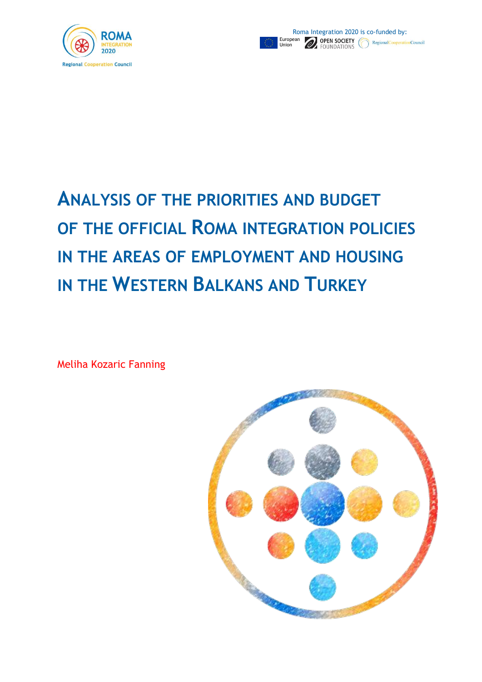



# **ANALYSIS OF THE PRIORITIES AND BUDGET OF THE OFFICIAL ROMA INTEGRATION POLICIES IN THE AREAS OF EMPLOYMENT AND HOUSING IN THE WESTERN BALKANS AND TURKEY**

Meliha Kozaric Fanning

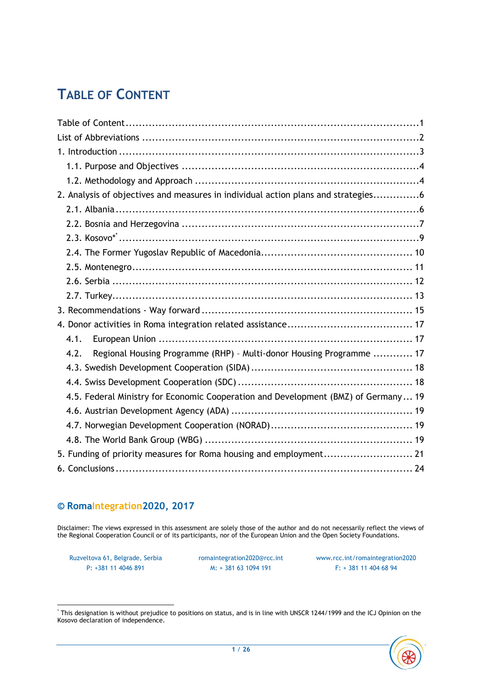# <span id="page-1-0"></span>**TABLE OF CONTENT**

| 2. Analysis of objectives and measures in individual action plans and strategies6  |
|------------------------------------------------------------------------------------|
|                                                                                    |
|                                                                                    |
|                                                                                    |
|                                                                                    |
|                                                                                    |
|                                                                                    |
|                                                                                    |
|                                                                                    |
|                                                                                    |
| 4.1.                                                                               |
| Regional Housing Programme (RHP) - Multi-donor Housing Programme  17<br>4.2.       |
|                                                                                    |
|                                                                                    |
| 4.5. Federal Ministry for Economic Cooperation and Development (BMZ) of Germany 19 |
|                                                                                    |
|                                                                                    |
|                                                                                    |
| 5. Funding of priority measures for Roma housing and employment 21                 |
|                                                                                    |

#### **© RomaIntegration2020, 2017**

Disclaimer: The views expressed in this assessment are solely those of the author and do not necessarily reflect the views of the Regional Cooperation Council or of its participants, nor of the European Union and the Open Society Foundations.

P: +381 11 4046 891 M: + 381 63 1094 191 F: + 381 11 404 68 94

Ruzveltova 61, Belgrade, Serbia [romaintegration2020@rcc.int](mailto:romaintegration2020@rcc.int) [www.rcc.int/romaintegration2020](http://www.rcc.int/romaintegration2020)

 $\overline{\phantom{a}}$ \* This designation is without prejudice to positions on status, and is in line with UNSCR 1244/1999 and the ICJ Opinion on the Kosovo declaration of independence.

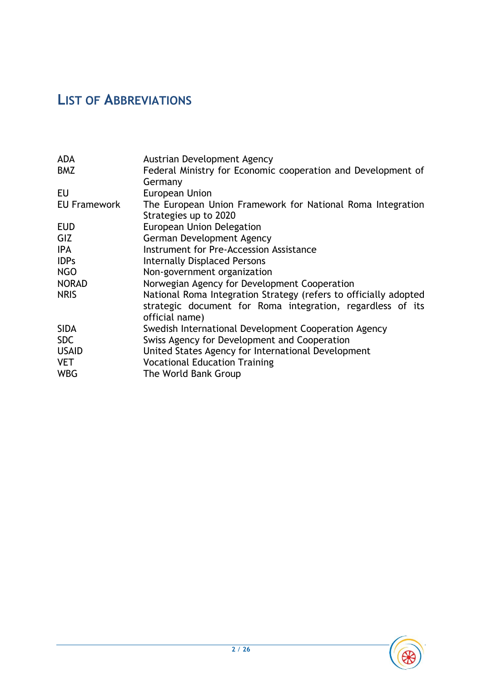# <span id="page-2-0"></span>**LIST OF ABBREVIATIONS**

| <b>ADA</b><br><b>BMZ</b> | Austrian Development Agency<br>Federal Ministry for Economic cooperation and Development of                                                      |
|--------------------------|--------------------------------------------------------------------------------------------------------------------------------------------------|
| EU                       | Germany<br><b>European Union</b>                                                                                                                 |
| <b>EU Framework</b>      | The European Union Framework for National Roma Integration<br>Strategies up to 2020                                                              |
| <b>EUD</b>               | European Union Delegation                                                                                                                        |
| GIZ                      | German Development Agency                                                                                                                        |
| <b>IPA</b>               | Instrument for Pre-Accession Assistance                                                                                                          |
| <b>IDPs</b>              | <b>Internally Displaced Persons</b>                                                                                                              |
| <b>NGO</b>               | Non-government organization                                                                                                                      |
| <b>NORAD</b>             | Norwegian Agency for Development Cooperation                                                                                                     |
| <b>NRIS</b>              | National Roma Integration Strategy (refers to officially adopted<br>strategic document for Roma integration, regardless of its<br>official name) |
| <b>SIDA</b>              | Swedish International Development Cooperation Agency                                                                                             |
| <b>SDC</b>               | Swiss Agency for Development and Cooperation                                                                                                     |
| <b>USAID</b>             | United States Agency for International Development                                                                                               |
| <b>VET</b>               | <b>Vocational Education Training</b>                                                                                                             |
| <b>WBG</b>               | The World Bank Group                                                                                                                             |

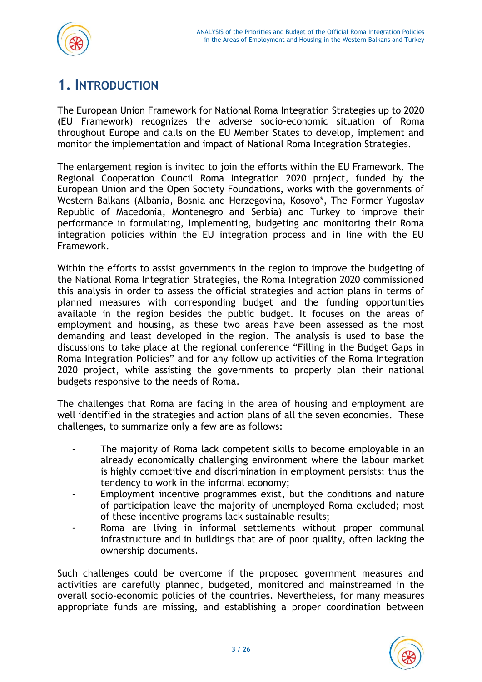

# <span id="page-3-0"></span>**1. INTRODUCTION**

The European Union Framework for National Roma Integration Strategies up to 2020 (EU Framework) recognizes the adverse socio-economic situation of Roma throughout Europe and calls on the EU Member States to develop, implement and monitor the implementation and impact of National Roma Integration Strategies.

The enlargement region is invited to join the efforts within the EU Framework. The Regional Cooperation Council Roma Integration 2020 project, funded by the European Union and the Open Society Foundations, works with the governments of Western Balkans (Albania, Bosnia and Herzegovina, Kosovo\*, The Former Yugoslav Republic of Macedonia, Montenegro and Serbia) and Turkey to improve their performance in formulating, implementing, budgeting and monitoring their Roma integration policies within the EU integration process and in line with the EU Framework.

Within the efforts to assist governments in the region to improve the budgeting of the National Roma Integration Strategies, the Roma Integration 2020 commissioned this analysis in order to assess the official strategies and action plans in terms of planned measures with corresponding budget and the funding opportunities available in the region besides the public budget. It focuses on the areas of employment and housing, as these two areas have been assessed as the most demanding and least developed in the region. The analysis is used to base the discussions to take place at the regional conference "Filling in the Budget Gaps in Roma Integration Policies" and for any follow up activities of the Roma Integration 2020 project, while assisting the governments to properly plan their national budgets responsive to the needs of Roma.

The challenges that Roma are facing in the area of housing and employment are well identified in the strategies and action plans of all the seven economies. These challenges, to summarize only a few are as follows:

- The majority of Roma lack competent skills to become employable in an already economically challenging environment where the labour market is highly competitive and discrimination in employment persists; thus the tendency to work in the informal economy;
- Employment incentive programmes exist, but the conditions and nature of participation leave the majority of unemployed Roma excluded; most of these incentive programs lack sustainable results;
- Roma are living in informal settlements without proper communal infrastructure and in buildings that are of poor quality, often lacking the ownership documents.

Such challenges could be overcome if the proposed government measures and activities are carefully planned, budgeted, monitored and mainstreamed in the overall socio-economic policies of the countries. Nevertheless, for many measures appropriate funds are missing, and establishing a proper coordination between

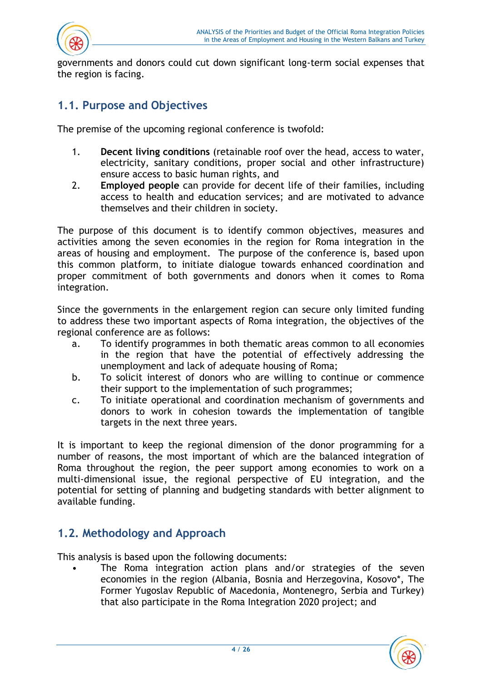



governments and donors could cut down significant long-term social expenses that the region is facing.

### <span id="page-4-0"></span>**1.1. Purpose and Objectives**

The premise of the upcoming regional conference is twofold:

- 1. **Decent living conditions** (retainable roof over the head, access to water, electricity, sanitary conditions, proper social and other infrastructure) ensure access to basic human rights, and
- 2. **Employed people** can provide for decent life of their families, including access to health and education services; and are motivated to advance themselves and their children in society.

The purpose of this document is to identify common objectives, measures and activities among the seven economies in the region for Roma integration in the areas of housing and employment. The purpose of the conference is, based upon this common platform, to initiate dialogue towards enhanced coordination and proper commitment of both governments and donors when it comes to Roma integration.

Since the governments in the enlargement region can secure only limited funding to address these two important aspects of Roma integration, the objectives of the regional conference are as follows:

- a. To identify programmes in both thematic areas common to all economies in the region that have the potential of effectively addressing the unemployment and lack of adequate housing of Roma;
- b. To solicit interest of donors who are willing to continue or commence their support to the implementation of such programmes;
- c. To initiate operational and coordination mechanism of governments and donors to work in cohesion towards the implementation of tangible targets in the next three years.

It is important to keep the regional dimension of the donor programming for a number of reasons, the most important of which are the balanced integration of Roma throughout the region, the peer support among economies to work on a multi-dimensional issue, the regional perspective of EU integration, and the potential for setting of planning and budgeting standards with better alignment to available funding.

### <span id="page-4-1"></span>**1.2. Methodology and Approach**

This analysis is based upon the following documents:

The Roma integration action plans and/or strategies of the seven economies in the region (Albania, Bosnia and Herzegovina, Kosovo\*, The Former Yugoslav Republic of Macedonia, Montenegro, Serbia and Turkey) that also participate in the Roma Integration 2020 project; and

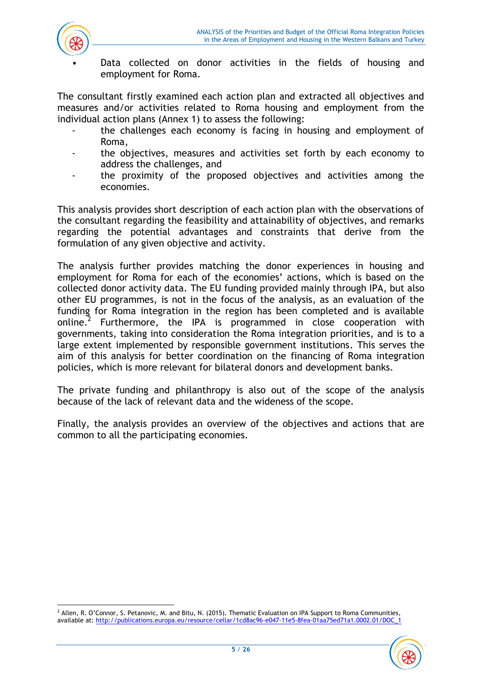

Data collected on donor activities in the fields of housing and employment for Roma.

The consultant firstly examined each action plan and extracted all objectives and measures and/or activities related to Roma housing and employment from the individual action plans (Annex 1) to assess the following:

- the challenges each economy is facing in housing and employment of Roma,
- the objectives, measures and activities set forth by each economy to address the challenges, and
- the proximity of the proposed objectives and activities among the economies.

This analysis provides short description of each action plan with the observations of the consultant regarding the feasibility and attainability of objectives, and remarks regarding the potential advantages and constraints that derive from the formulation of any given objective and activity.

The analysis further provides matching the donor experiences in housing and employment for Roma for each of the economies' actions, which is based on the collected donor activity data. The EU funding provided mainly through IPA, but also other EU programmes, is not in the focus of the analysis, as an evaluation of the funding for Roma integration in the region has been completed and is available online.<sup>2</sup> Furthermore, the IPA is programmed in close cooperation with governments, taking into consideration the Roma integration priorities, and is to a large extent implemented by responsible government institutions. This serves the aim of this analysis for better coordination on the financing of Roma integration policies, which is more relevant for bilateral donors and development banks.

The private funding and philanthropy is also out of the scope of the analysis because of the lack of relevant data and the wideness of the scope.

Finally, the analysis provides an overview of the objectives and actions that are common to all the participating economies.

 $\overline{\phantom{a}}$ <sup>2</sup> Allen, R. O'Connor, S. Petanovic, M. and Bitu, N. (2015). Thematic Evaluation on IPA Support to Roma Communities, available at[: http://publications.europa.eu/resource/cellar/1cd8ac96-e047-11e5-8fea-01aa75ed71a1.0002.01/DOC\\_1](http://publications.europa.eu/resource/cellar/1cd8ac96-e047-11e5-8fea-01aa75ed71a1.0002.01/DOC_1)

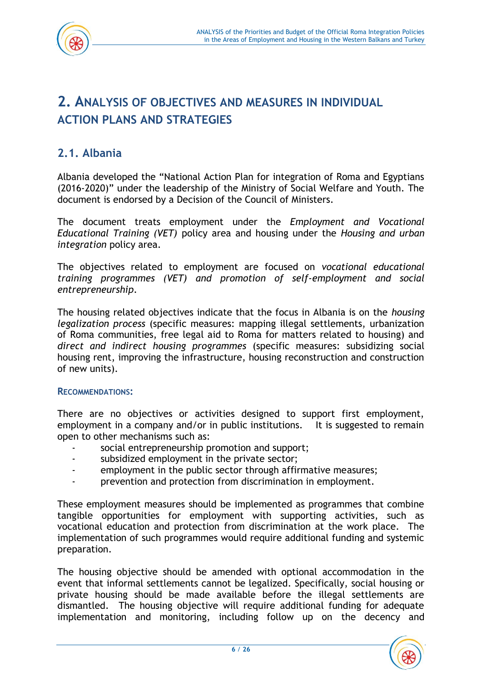

# <span id="page-6-0"></span>**2. ANALYSIS OF OBJECTIVES AND MEASURES IN INDIVIDUAL ACTION PLANS AND STRATEGIES**

# <span id="page-6-1"></span>**2.1. Albania**

Albania developed the "National Action Plan for integration of Roma and Egyptians (2016-2020)" under the leadership of the Ministry of Social Welfare and Youth. The document is endorsed by a Decision of the Council of Ministers.

The document treats employment under the *Employment and Vocational Educational Training (VET)* policy area and housing under the *Housing and urban integration* policy area.

The objectives related to employment are focused on *vocational educational training programmes (VET) and promotion of self-employment and social entrepreneurship*.

The housing related objectives indicate that the focus in Albania is on the *housing legalization process* (specific measures: mapping illegal settlements, urbanization of Roma communities, free legal aid to Roma for matters related to housing) and *direct and indirect housing programmes* (specific measures: subsidizing social housing rent, improving the infrastructure, housing reconstruction and construction of new units).

#### **RECOMMENDATIONS:**

There are no objectives or activities designed to support first employment, employment in a company and/or in public institutions. It is suggested to remain open to other mechanisms such as:

- social entrepreneurship promotion and support;
- subsidized employment in the private sector;
- employment in the public sector through affirmative measures;
- prevention and protection from discrimination in employment.

These employment measures should be implemented as programmes that combine tangible opportunities for employment with supporting activities, such as vocational education and protection from discrimination at the work place. The implementation of such programmes would require additional funding and systemic preparation.

The housing objective should be amended with optional accommodation in the event that informal settlements cannot be legalized. Specifically, social housing or private housing should be made available before the illegal settlements are dismantled. The housing objective will require additional funding for adequate implementation and monitoring, including follow up on the decency and

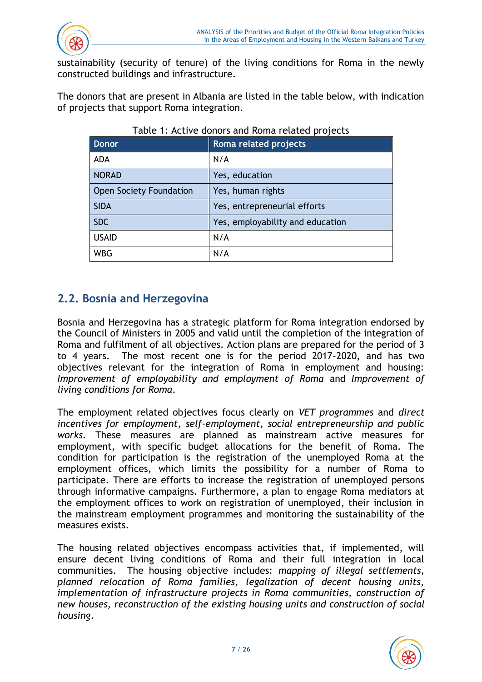

sustainability (security of tenure) of the living conditions for Roma in the newly constructed buildings and infrastructure.

The donors that are present in Albania are listed in the table below, with indication of projects that support Roma integration.

| <b>Donor</b>            | Roma related projects            |
|-------------------------|----------------------------------|
| <b>ADA</b>              | N/A                              |
| <b>NORAD</b>            | Yes, education                   |
| Open Society Foundation | Yes, human rights                |
| <b>SIDA</b>             | Yes, entrepreneurial efforts     |
| <b>SDC</b>              | Yes, employability and education |
| <b>USAID</b>            | N/A                              |
| <b>WBG</b>              | N/A                              |

#### Table 1: Active donors and Roma related projects

# <span id="page-7-0"></span>**2.2. Bosnia and Herzegovina**

Bosnia and Herzegovina has a strategic platform for Roma integration endorsed by the Council of Ministers in 2005 and valid until the completion of the integration of Roma and fulfilment of all objectives. Action plans are prepared for the period of 3 to 4 years. The most recent one is for the period 2017-2020, and has two objectives relevant for the integration of Roma in employment and housing: *Improvement of employability and employment of Roma* and *Improvement of living conditions for Roma*.

The employment related objectives focus clearly on *VET programmes* and *direct incentives for employment, self-employment, social entrepreneurship and public works*. These measures are planned as mainstream active measures for employment, with specific budget allocations for the benefit of Roma. The condition for participation is the registration of the unemployed Roma at the employment offices, which limits the possibility for a number of Roma to participate. There are efforts to increase the registration of unemployed persons through informative campaigns. Furthermore, a plan to engage Roma mediators at the employment offices to work on registration of unemployed, their inclusion in the mainstream employment programmes and monitoring the sustainability of the measures exists.

The housing related objectives encompass activities that, if implemented, will ensure decent living conditions of Roma and their full integration in local communities. The housing objective includes: *mapping of illegal settlements, planned relocation of Roma families, legalization of decent housing units,*  implementation of infrastructure projects in Roma communities, construction of *new houses, reconstruction of the existing housing units and construction of social housing*.

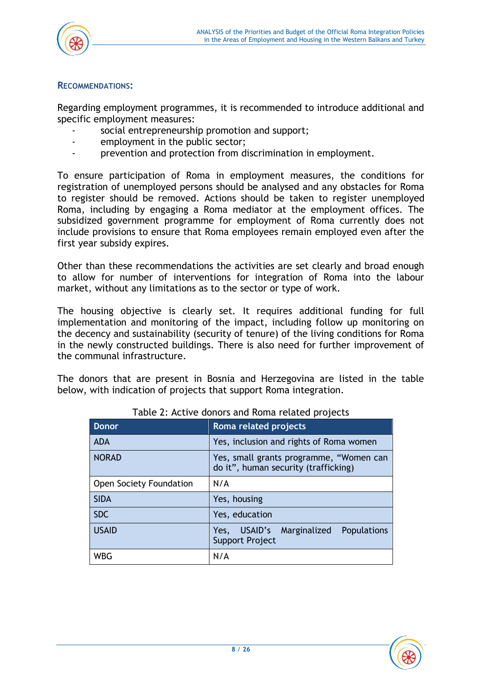

#### **RECOMMENDATIONS:**

Regarding employment programmes, it is recommended to introduce additional and specific employment measures:

- social entrepreneurship promotion and support;
- employment in the public sector;
- prevention and protection from discrimination in employment.

To ensure participation of Roma in employment measures, the conditions for registration of unemployed persons should be analysed and any obstacles for Roma to register should be removed. Actions should be taken to register unemployed Roma, including by engaging a Roma mediator at the employment offices. The subsidized government programme for employment of Roma currently does not include provisions to ensure that Roma employees remain employed even after the first year subsidy expires.

Other than these recommendations the activities are set clearly and broad enough to allow for number of interventions for integration of Roma into the labour market, without any limitations as to the sector or type of work.

The housing objective is clearly set. It requires additional funding for full implementation and monitoring of the impact, including follow up monitoring on the decency and sustainability (security of tenure) of the living conditions for Roma in the newly constructed buildings. There is also need for further improvement of the communal infrastructure.

The donors that are present in Bosnia and Herzegovina are listed in the table below, with indication of projects that support Roma integration.

| <b>Donor</b>            | Roma related projects                                                           |  |  |  |  |
|-------------------------|---------------------------------------------------------------------------------|--|--|--|--|
| <b>ADA</b>              | Yes, inclusion and rights of Roma women                                         |  |  |  |  |
| <b>NORAD</b>            | Yes, small grants programme, "Women can<br>do it", human security (trafficking) |  |  |  |  |
| Open Society Foundation | N/A                                                                             |  |  |  |  |
| <b>SIDA</b>             | Yes, housing                                                                    |  |  |  |  |
| <b>SDC</b>              | Yes, education                                                                  |  |  |  |  |
| <b>USAID</b>            | USAID's Marginalized<br><b>Populations</b><br>Yes,<br>Support Project           |  |  |  |  |
| <b>WBG</b>              | N/A                                                                             |  |  |  |  |

Table 2: Active donors and Roma related projects

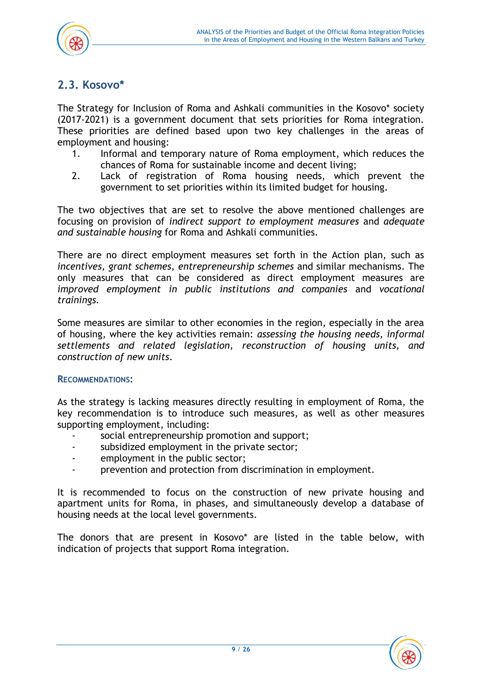

# <span id="page-9-0"></span>**2.3. Kosovo\***

The Strategy for Inclusion of Roma and Ashkali communities in the Kosovo\* society (2017-2021) is a government document that sets priorities for Roma integration. These priorities are defined based upon two key challenges in the areas of employment and housing:

- 1. Informal and temporary nature of Roma employment, which reduces the chances of Roma for sustainable income and decent living;
- 2. Lack of registration of Roma housing needs, which prevent the government to set priorities within its limited budget for housing.

The two objectives that are set to resolve the above mentioned challenges are focusing on provision of *indirect support to employment measures* and *adequate and sustainable housing* for Roma and Ashkali communities.

There are no direct employment measures set forth in the Action plan, such as *incentives, grant schemes, entrepreneurship schemes* and similar mechanisms. The only measures that can be considered as direct employment measures are *improved employment in public institutions and companies* and *vocational trainings.*

Some measures are similar to other economies in the region, especially in the area of housing, where the key activities remain: *assessing the housing needs, informal settlements and related legislation, reconstruction of housing units, and construction of new units*.

#### **RECOMMENDATIONS:**

As the strategy is lacking measures directly resulting in employment of Roma, the key recommendation is to introduce such measures, as well as other measures supporting employment, including:

- social entrepreneurship promotion and support;
- subsidized employment in the private sector;
- employment in the public sector;
- prevention and protection from discrimination in employment.

It is recommended to focus on the construction of new private housing and apartment units for Roma, in phases, and simultaneously develop a database of housing needs at the local level governments.

The donors that are present in Kosovo\* are listed in the table below, with indication of projects that support Roma integration.

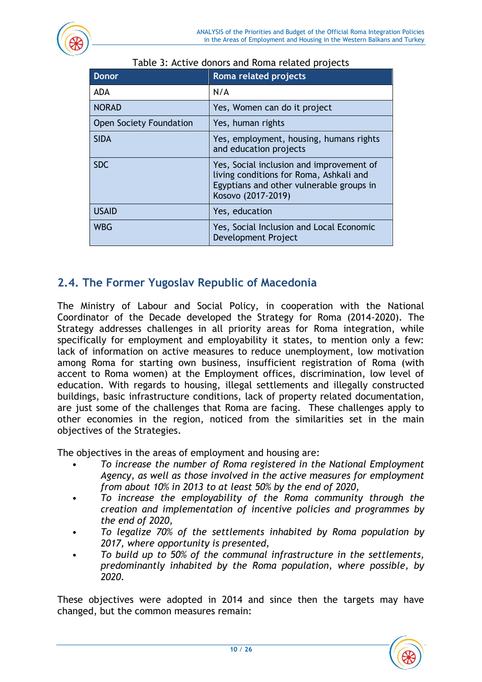| <b>Donor</b>                   | Roma related projects                                                                                                                                 |
|--------------------------------|-------------------------------------------------------------------------------------------------------------------------------------------------------|
| <b>ADA</b>                     | N/A                                                                                                                                                   |
| <b>NORAD</b>                   | Yes, Women can do it project                                                                                                                          |
| <b>Open Society Foundation</b> | Yes, human rights                                                                                                                                     |
| <b>SIDA</b>                    | Yes, employment, housing, humans rights<br>and education projects                                                                                     |
| <b>SDC</b>                     | Yes, Social inclusion and improvement of<br>living conditions for Roma, Ashkali and<br>Egyptians and other vulnerable groups in<br>Kosovo (2017-2019) |
| <b>USAID</b>                   | Yes, education                                                                                                                                        |
| <b>WBG</b>                     | Yes, Social Inclusion and Local Economic<br>Development Project                                                                                       |

#### Table 3: Active donors and Roma related projects

# <span id="page-10-0"></span>**2.4. The Former Yugoslav Republic of Macedonia**

The Ministry of Labour and Social Policy, in cooperation with the National Coordinator of the Decade developed the Strategy for Roma (2014-2020). The Strategy addresses challenges in all priority areas for Roma integration, while specifically for employment and employability it states, to mention only a few: lack of information on active measures to reduce unemployment, low motivation among Roma for starting own business, insufficient registration of Roma (with accent to Roma women) at the Employment offices, discrimination, low level of education. With regards to housing, illegal settlements and illegally constructed buildings, basic infrastructure conditions, lack of property related documentation, are just some of the challenges that Roma are facing. These challenges apply to other economies in the region, noticed from the similarities set in the main objectives of the Strategies.

The objectives in the areas of employment and housing are:

- *To increase the number of Roma registered in the National Employment Agency, as well as those involved in the active measures for employment from about 10% in 2013 to at least 50% by the end of 2020,*
- *To increase the employability of the Roma community through the creation and implementation of incentive policies and programmes by the end of 2020,*
- *To legalize 70% of the settlements inhabited by Roma population by 2017, where opportunity is presented,*
- *To build up to 50% of the communal infrastructure in the settlements, predominantly inhabited by the Roma population, where possible, by 2020*.

These objectives were adopted in 2014 and since then the targets may have changed, but the common measures remain:

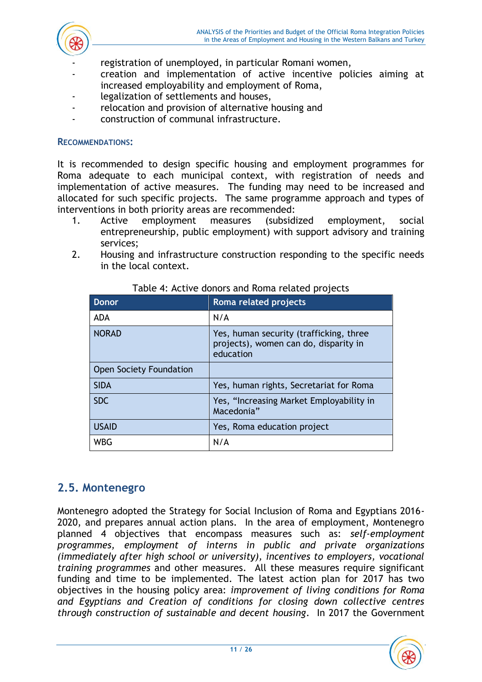

- registration of unemployed, in particular Romani women,
- creation and implementation of active incentive policies aiming at increased employability and employment of Roma,
- legalization of settlements and houses,
- relocation and provision of alternative housing and
- construction of communal infrastructure.

#### **RECOMMENDATIONS:**

It is recommended to design specific housing and employment programmes for Roma adequate to each municipal context, with registration of needs and implementation of active measures. The funding may need to be increased and allocated for such specific projects. The same programme approach and types of interventions in both priority areas are recommended:

- 1. Active employment measures (subsidized employment, social entrepreneurship, public employment) with support advisory and training services;
- 2. Housing and infrastructure construction responding to the specific needs in the local context.

| <b>Donor</b>                   | Roma related projects                                                                         |
|--------------------------------|-----------------------------------------------------------------------------------------------|
| <b>ADA</b>                     | N/A                                                                                           |
| <b>NORAD</b>                   | Yes, human security (trafficking, three<br>projects), women can do, disparity in<br>education |
| <b>Open Society Foundation</b> |                                                                                               |
| <b>SIDA</b>                    | Yes, human rights, Secretariat for Roma                                                       |
| <b>SDC</b>                     | Yes, "Increasing Market Employability in<br>Macedonia"                                        |
| <b>USAID</b>                   | Yes, Roma education project                                                                   |
| WBG                            | N/A                                                                                           |

#### Table 4: Active donors and Roma related projects

## <span id="page-11-0"></span>**2.5. Montenegro**

Montenegro adopted the Strategy for Social Inclusion of Roma and Egyptians 2016- 2020, and prepares annual action plans. In the area of employment, Montenegro planned 4 objectives that encompass measures such as: *self-employment programmes, employment of interns in public and private organizations (immediately after high school or university), incentives to employers, vocational training programmes* and other measures. All these measures require significant funding and time to be implemented. The latest action plan for 2017 has two objectives in the housing policy area: *improvement of living conditions for Roma and Egyptians and Creation of conditions for closing down collective centres through construction of sustainable and decent housing*. In 2017 the Government

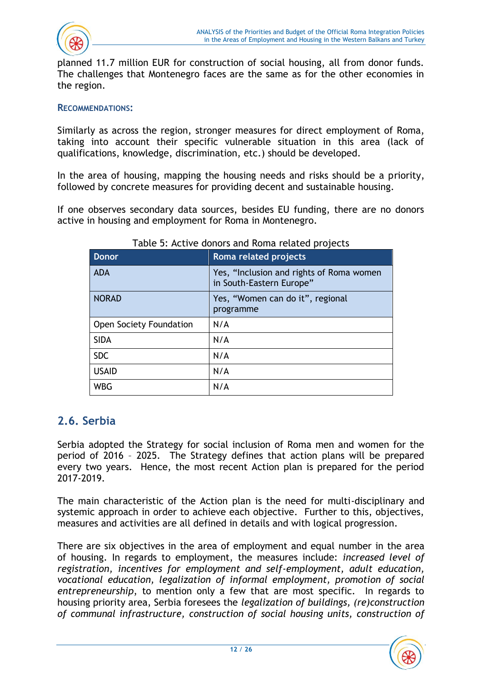

planned 11.7 million EUR for construction of social housing, all from donor funds. The challenges that Montenegro faces are the same as for the other economies in the region.

#### **RECOMMENDATIONS:**

Similarly as across the region, stronger measures for direct employment of Roma, taking into account their specific vulnerable situation in this area (lack of qualifications, knowledge, discrimination, etc.) should be developed.

In the area of housing, mapping the housing needs and risks should be a priority, followed by concrete measures for providing decent and sustainable housing.

If one observes secondary data sources, besides EU funding, there are no donors active in housing and employment for Roma in Montenegro.

| <b>Donor</b>            | <b>Roma</b> related projects                                         |
|-------------------------|----------------------------------------------------------------------|
| <b>ADA</b>              | Yes, "Inclusion and rights of Roma women<br>in South-Eastern Europe" |
| <b>NORAD</b>            | Yes, "Women can do it", regional<br>programme                        |
| Open Society Foundation | N/A                                                                  |
| <b>SIDA</b>             | N/A                                                                  |
| <b>SDC</b>              | N/A                                                                  |
| <b>USAID</b>            | N/A                                                                  |
| <b>WBG</b>              | N/A                                                                  |

#### Table 5: Active donors and Roma related projects

## <span id="page-12-0"></span>**2.6. Serbia**

Serbia adopted the Strategy for social inclusion of Roma men and women for the period of 2016 – 2025. The Strategy defines that action plans will be prepared every two years. Hence, the most recent Action plan is prepared for the period 2017-2019.

The main characteristic of the Action plan is the need for multi-disciplinary and systemic approach in order to achieve each objective. Further to this, objectives, measures and activities are all defined in details and with logical progression.

There are six objectives in the area of employment and equal number in the area of housing. In regards to employment, the measures include: *increased level of registration, incentives for employment and self-employment, adult education, vocational education, legalization of informal employment, promotion of social entrepreneurship*, to mention only a few that are most specific. In regards to housing priority area, Serbia foresees the *legalization of buildings, (re)construction of communal infrastructure, construction of social housing units, construction of* 

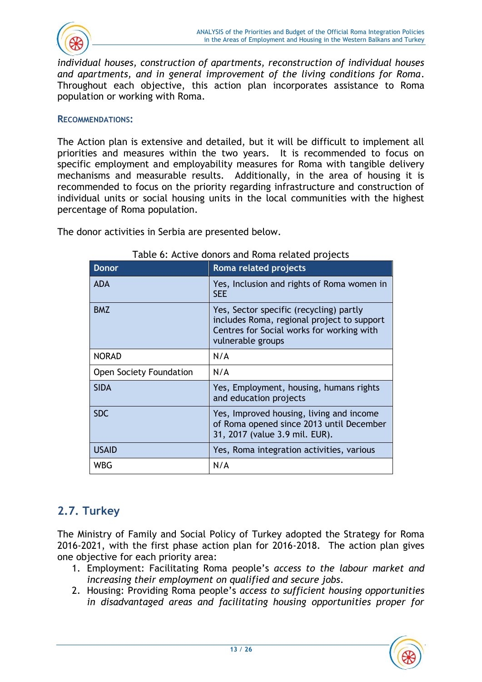

*individual houses, construction of apartments, reconstruction of individual houses and apartments, and in general improvement of the living conditions for Roma*. Throughout each objective, this action plan incorporates assistance to Roma population or working with Roma.

#### **RECOMMENDATIONS:**

The Action plan is extensive and detailed, but it will be difficult to implement all priorities and measures within the two years. It is recommended to focus on specific employment and employability measures for Roma with tangible delivery mechanisms and measurable results. Additionally, in the area of housing it is recommended to focus on the priority regarding infrastructure and construction of individual units or social housing units in the local communities with the highest percentage of Roma population.

The donor activities in Serbia are presented below.

| <b>Donor</b>            | Roma related projects                                                                                                                                   |
|-------------------------|---------------------------------------------------------------------------------------------------------------------------------------------------------|
| <b>ADA</b>              | Yes, Inclusion and rights of Roma women in<br><b>SEE</b>                                                                                                |
| <b>BMZ</b>              | Yes, Sector specific (recycling) partly<br>includes Roma, regional project to support<br>Centres for Social works for working with<br>vulnerable groups |
| <b>NORAD</b>            | N/A                                                                                                                                                     |
| Open Society Foundation | N/A                                                                                                                                                     |
| <b>SIDA</b>             | Yes, Employment, housing, humans rights<br>and education projects                                                                                       |
| <b>SDC</b>              | Yes, Improved housing, living and income<br>of Roma opened since 2013 until December<br>31, 2017 (value 3.9 mil. EUR).                                  |
| <b>USAID</b>            | Yes, Roma integration activities, various                                                                                                               |
| WBG                     | N/A                                                                                                                                                     |

#### Table 6: Active donors and Roma related projects

# <span id="page-13-0"></span>**2.7. Turkey**

The Ministry of Family and Social Policy of Turkey adopted the Strategy for Roma 2016-2021, with the first phase action plan for 2016-2018. The action plan gives one objective for each priority area:

- 1. Employment: Facilitating Roma people's *access to the labour market and increasing their employment on qualified and secure jobs*.
- 2. Housing: Providing Roma people's *access to sufficient housing opportunities in disadvantaged areas and facilitating housing opportunities proper for*

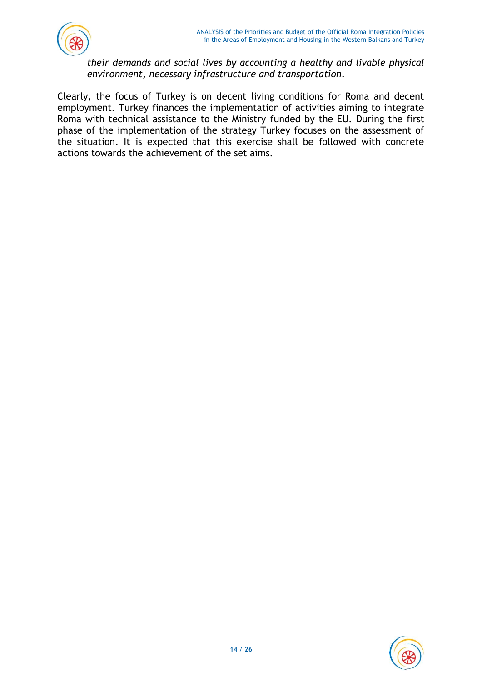

*their demands and social lives by accounting a healthy and livable physical environment, necessary infrastructure and transportation.*

Clearly, the focus of Turkey is on decent living conditions for Roma and decent employment. Turkey finances the implementation of activities aiming to integrate Roma with technical assistance to the Ministry funded by the EU. During the first phase of the implementation of the strategy Turkey focuses on the assessment of the situation. It is expected that this exercise shall be followed with concrete actions towards the achievement of the set aims.

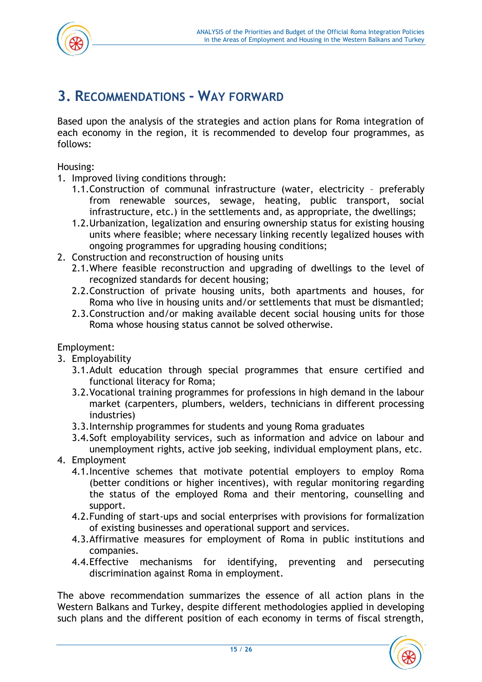

# <span id="page-15-0"></span>**3. RECOMMENDATIONS - WAY FORWARD**

Based upon the analysis of the strategies and action plans for Roma integration of each economy in the region, it is recommended to develop four programmes, as follows:

Housing:

- 1. Improved living conditions through:
	- 1.1.Construction of communal infrastructure (water, electricity preferably from renewable sources, sewage, heating, public transport, social infrastructure, etc.) in the settlements and, as appropriate, the dwellings;
	- 1.2.Urbanization, legalization and ensuring ownership status for existing housing units where feasible; where necessary linking recently legalized houses with ongoing programmes for upgrading housing conditions;
- 2. Construction and reconstruction of housing units
	- 2.1.Where feasible reconstruction and upgrading of dwellings to the level of recognized standards for decent housing;
	- 2.2.Construction of private housing units, both apartments and houses, for Roma who live in housing units and/or settlements that must be dismantled;
	- 2.3.Construction and/or making available decent social housing units for those Roma whose housing status cannot be solved otherwise.

Employment:

- 3. Employability
	- 3.1.Adult education through special programmes that ensure certified and functional literacy for Roma;
	- 3.2.Vocational training programmes for professions in high demand in the labour market (carpenters, plumbers, welders, technicians in different processing industries)
	- 3.3.Internship programmes for students and young Roma graduates
	- 3.4.Soft employability services, such as information and advice on labour and unemployment rights, active job seeking, individual employment plans, etc.
- 4. Employment
	- 4.1.Incentive schemes that motivate potential employers to employ Roma (better conditions or higher incentives), with regular monitoring regarding the status of the employed Roma and their mentoring, counselling and support.
	- 4.2.Funding of start-ups and social enterprises with provisions for formalization of existing businesses and operational support and services.
	- 4.3.Affirmative measures for employment of Roma in public institutions and companies.
	- 4.4.Effective mechanisms for identifying, preventing and persecuting discrimination against Roma in employment.

The above recommendation summarizes the essence of all action plans in the Western Balkans and Turkey, despite different methodologies applied in developing such plans and the different position of each economy in terms of fiscal strength,

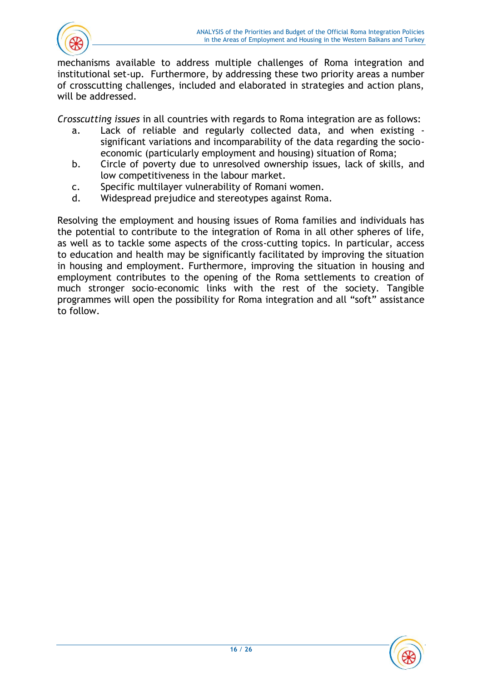

mechanisms available to address multiple challenges of Roma integration and institutional set-up. Furthermore, by addressing these two priority areas a number of crosscutting challenges, included and elaborated in strategies and action plans, will be addressed.

*Crosscutting issues* in all countries with regards to Roma integration are as follows:

- a. Lack of reliable and regularly collected data, and when existing significant variations and incomparability of the data regarding the socioeconomic (particularly employment and housing) situation of Roma;
- b. Circle of poverty due to unresolved ownership issues, lack of skills, and low competitiveness in the labour market.
- c. Specific multilayer vulnerability of Romani women.
- d. Widespread prejudice and stereotypes against Roma.

Resolving the employment and housing issues of Roma families and individuals has the potential to contribute to the integration of Roma in all other spheres of life, as well as to tackle some aspects of the cross-cutting topics. In particular, access to education and health may be significantly facilitated by improving the situation in housing and employment. Furthermore, improving the situation in housing and employment contributes to the opening of the Roma settlements to creation of much stronger socio-economic links with the rest of the society. Tangible programmes will open the possibility for Roma integration and all "soft" assistance to follow.

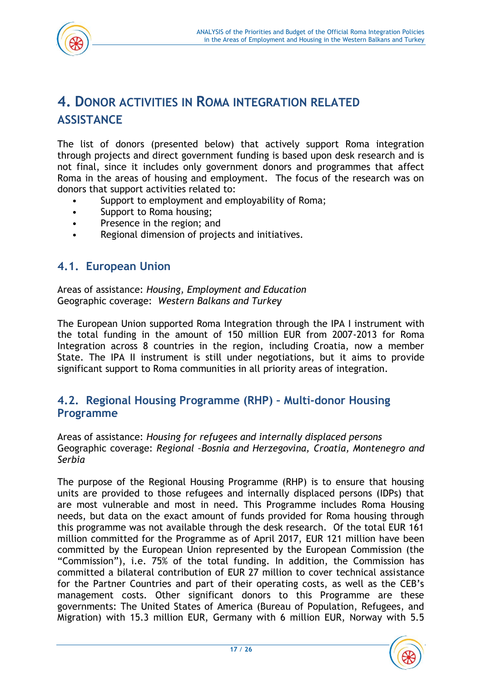

# <span id="page-17-0"></span>**4. DONOR ACTIVITIES IN ROMA INTEGRATION RELATED ASSISTANCE**

The list of donors (presented below) that actively support Roma integration through projects and direct government funding is based upon desk research and is not final, since it includes only government donors and programmes that affect Roma in the areas of housing and employment. The focus of the research was on donors that support activities related to:

- Support to employment and employability of Roma;
- Support to Roma housing;
- Presence in the region; and
- Regional dimension of projects and initiatives.

### <span id="page-17-1"></span>**4.1. European Union**

Areas of assistance: *Housing, Employment and Education* Geographic coverage: *Western Balkans and Turkey*

The European Union supported Roma Integration through the IPA I instrument with the total funding in the amount of 150 million EUR from 2007-2013 for Roma Integration across 8 countries in the region, including Croatia, now a member State. The IPA II instrument is still under negotiations, but it aims to provide significant support to Roma communities in all priority areas of integration.

### <span id="page-17-2"></span>**4.2. Regional Housing Programme (RHP) – Multi-donor Housing Programme**

Areas of assistance: *Housing for refugees and internally displaced persons* Geographic coverage: *Regional –Bosnia and Herzegovina, Croatia, Montenegro and Serbia*

The purpose of the Regional Housing Programme (RHP) is to ensure that housing units are provided to those refugees and internally displaced persons (IDPs) that are most vulnerable and most in need. This Programme includes Roma Housing needs, but data on the exact amount of funds provided for Roma housing through this programme was not available through the desk research. Of the total EUR 161 million committed for the Programme as of April 2017, EUR 121 million have been committed by the European Union represented by the European Commission (the "Commission"), i.e. 75% of the total funding. In addition, the Commission has committed a bilateral contribution of EUR 27 million to cover technical assistance for the Partner Countries and part of their operating costs, as well as the CEB's management costs. Other significant donors to this Programme are these governments: The United States of America (Bureau of Population, Refugees, and Migration) with 15.3 million EUR, Germany with 6 million EUR, Norway with 5.5

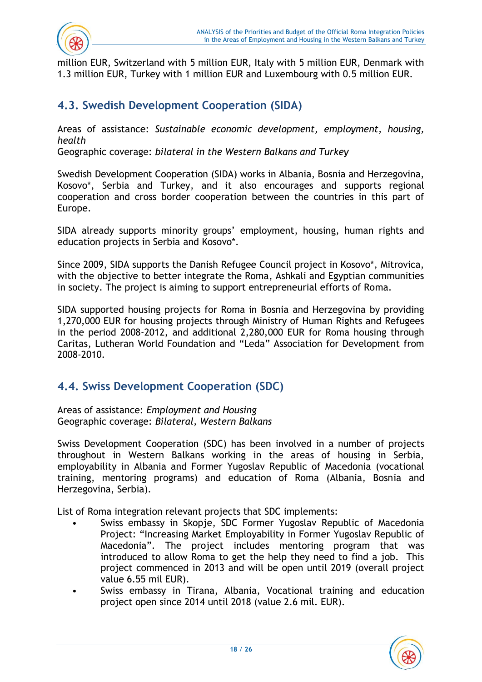

million EUR, Switzerland with 5 million EUR, Italy with 5 million EUR, Denmark with 1.3 million EUR, Turkey with 1 million EUR and Luxembourg with 0.5 million EUR.

## <span id="page-18-0"></span>**4.3. Swedish Development Cooperation (SIDA)**

Areas of assistance: *Sustainable economic development, employment, housing, health*

Geographic coverage: *bilateral in the Western Balkans and Turkey*

Swedish Development Cooperation (SIDA) works in Albania, Bosnia and Herzegovina, Kosovo\*, Serbia and Turkey, and it also encourages and supports regional cooperation and cross border cooperation between the countries in this part of Europe.

SIDA already supports minority groups' employment, housing, human rights and education projects in Serbia and Kosovo\*.

Since 2009, SIDA supports the Danish Refugee Council project in Kosovo\*, Mitrovica, with the objective to better integrate the Roma, Ashkali and Egyptian communities in society. The project is aiming to support entrepreneurial efforts of Roma.

SIDA supported housing projects for Roma in Bosnia and Herzegovina by providing 1,270,000 EUR for housing projects through Ministry of Human Rights and Refugees in the period 2008-2012, and additional 2,280,000 EUR for Roma housing through Caritas, Lutheran World Foundation and "Leda" Association for Development from 2008-2010.

## <span id="page-18-1"></span>**4.4. Swiss Development Cooperation (SDC)**

Areas of assistance: *Employment and Housing* Geographic coverage: *Bilateral, Western Balkans*

Swiss Development Cooperation (SDC) has been involved in a number of projects throughout in Western Balkans working in the areas of housing in Serbia, employability in Albania and Former Yugoslav Republic of Macedonia (vocational training, mentoring programs) and education of Roma (Albania, Bosnia and Herzegovina, Serbia).

List of Roma integration relevant projects that SDC implements:

- Swiss embassy in Skopje, SDC Former Yugoslav Republic of Macedonia Project: "Increasing Market Employability in Former Yugoslav Republic of Macedonia". The project includes mentoring program that was introduced to allow Roma to get the help they need to find a job. This project commenced in 2013 and will be open until 2019 (overall project value 6.55 mil EUR).
- Swiss embassy in Tirana, Albania, Vocational training and education project open since 2014 until 2018 (value 2.6 mil. EUR).

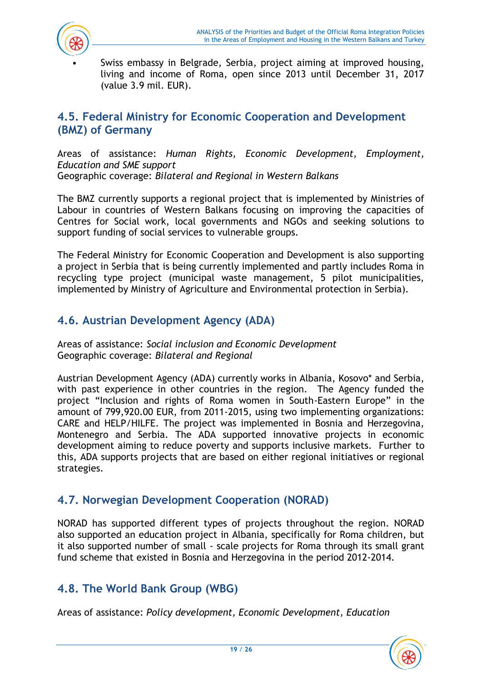

Swiss embassy in Belgrade, Serbia, project aiming at improved housing, living and income of Roma, open since 2013 until December 31, 2017 (value 3.9 mil. EUR).

# <span id="page-19-0"></span>**4.5. Federal Ministry for Economic Cooperation and Development (BMZ) of Germany**

Areas of assistance: *Human Rights, Economic Development, Employment, Education and SME support*  Geographic coverage: *Bilateral and Regional in Western Balkans*

The BMZ currently supports a regional project that is implemented by Ministries of Labour in countries of Western Balkans focusing on improving the capacities of Centres for Social work, local governments and NGOs and seeking solutions to support funding of social services to vulnerable groups.

The Federal Ministry for Economic Cooperation and Development is also supporting a project in Serbia that is being currently implemented and partly includes Roma in recycling type project (municipal waste management, 5 pilot municipalities, implemented by Ministry of Agriculture and Environmental protection in Serbia).

# <span id="page-19-1"></span>**4.6. Austrian Development Agency (ADA)**

Areas of assistance: *Social inclusion and Economic Development* Geographic coverage: *Bilateral and Regional*

Austrian Development Agency (ADA) currently works in Albania, Kosovo\* and Serbia, with past experience in other countries in the region. The Agency funded the project "Inclusion and rights of Roma women in South-Eastern Europe" in the amount of 799,920.00 EUR, from 2011-2015, using two implementing organizations: CARE and HELP/HILFE. The project was implemented in Bosnia and Herzegovina, Montenegro and Serbia. The ADA supported innovative projects in economic development aiming to reduce poverty and supports inclusive markets. Further to this, ADA supports projects that are based on either regional initiatives or regional strategies.

## <span id="page-19-2"></span>**4.7. Norwegian Development Cooperation (NORAD)**

NORAD has supported different types of projects throughout the region. NORAD also supported an education project in Albania, specifically for Roma children, but it also supported number of small - scale projects for Roma through its small grant fund scheme that existed in Bosnia and Herzegovina in the period 2012-2014.

# <span id="page-19-3"></span>**4.8. The World Bank Group (WBG)**

Areas of assistance: *Policy development, Economic Development, Education*

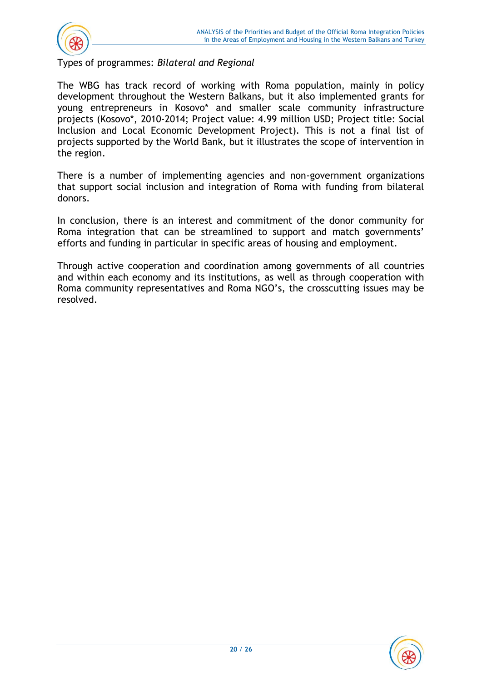

Types of programmes: *Bilateral and Regional*

The WBG has track record of working with Roma population, mainly in policy development throughout the Western Balkans, but it also implemented grants for young entrepreneurs in Kosovo\* and smaller scale community infrastructure projects (Kosovo\*, 2010-2014; Project value: 4.99 million USD; Project title: Social Inclusion and Local Economic Development Project). This is not a final list of projects supported by the World Bank, but it illustrates the scope of intervention in the region.

There is a number of implementing agencies and non-government organizations that support social inclusion and integration of Roma with funding from bilateral donors.

In conclusion, there is an interest and commitment of the donor community for Roma integration that can be streamlined to support and match governments' efforts and funding in particular in specific areas of housing and employment.

Through active cooperation and coordination among governments of all countries and within each economy and its institutions, as well as through cooperation with Roma community representatives and Roma NGO's, the crosscutting issues may be resolved.

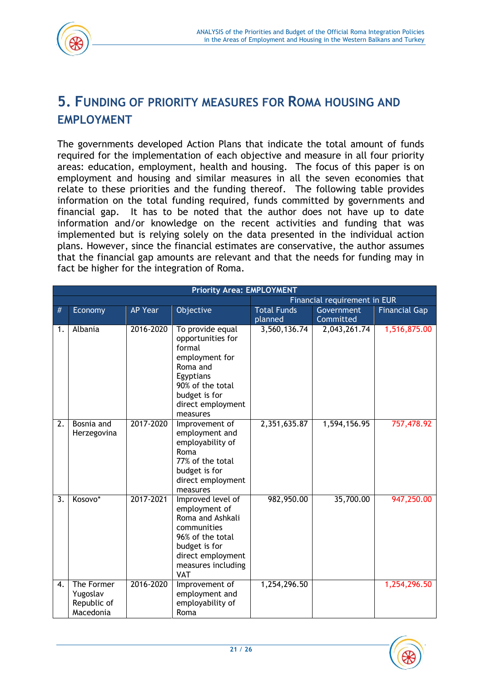

# <span id="page-21-0"></span>**5. FUNDING OF PRIORITY MEASURES FOR ROMA HOUSING AND EMPLOYMENT**

The governments developed Action Plans that indicate the total amount of funds required for the implementation of each objective and measure in all four priority areas: education, employment, health and housing. The focus of this paper is on employment and housing and similar measures in all the seven economies that relate to these priorities and the funding thereof. The following table provides information on the total funding required, funds committed by governments and financial gap. It has to be noted that the author does not have up to date information and/or knowledge on the recent activities and funding that was implemented but is relying solely on the data presented in the individual action plans. However, since the financial estimates are conservative, the author assumes that the financial gap amounts are relevant and that the needs for funding may in fact be higher for the integration of Roma.

|    | <b>Priority Area: EMPLOYMENT</b>                   |                |                                                                                                                                                                     |                              |              |                      |  |  |
|----|----------------------------------------------------|----------------|---------------------------------------------------------------------------------------------------------------------------------------------------------------------|------------------------------|--------------|----------------------|--|--|
|    |                                                    |                |                                                                                                                                                                     | Financial requirement in EUR |              |                      |  |  |
| #  | Economy                                            | <b>AP Year</b> | Objective                                                                                                                                                           | <b>Total Funds</b>           | Government   | <b>Financial Gap</b> |  |  |
|    |                                                    |                |                                                                                                                                                                     | planned                      | Committed    |                      |  |  |
| 1. | Albania                                            | 2016-2020      | To provide equal<br>opportunities for<br>formal<br>employment for<br>Roma and<br>Egyptians<br>90% of the total<br>budget is for<br>direct employment<br>measures    | 3,560,136.74                 | 2,043,261.74 | 1,516,875.00         |  |  |
| 2. | Bosnia and<br>Herzegovina                          | 2017-2020      | Improvement of<br>employment and<br>employability of<br>Roma<br>77% of the total<br>budget is for<br>direct employment<br>measures                                  | 2,351,635.87                 | 1,594,156.95 | 757,478.92           |  |  |
| 3. | Kosovo*                                            | 2017-2021      | Improved level of<br>employment of<br>Roma and Ashkali<br>communities<br>96% of the total<br>budget is for<br>direct employment<br>measures including<br><b>VAT</b> | 982,950.00                   | 35,700.00    | 947,250.00           |  |  |
| 4. | The Former<br>Yugoslav<br>Republic of<br>Macedonia | 2016-2020      | Improvement of<br>employment and<br>employability of<br>Roma                                                                                                        | 1,254,296.50                 |              | 1,254,296.50         |  |  |

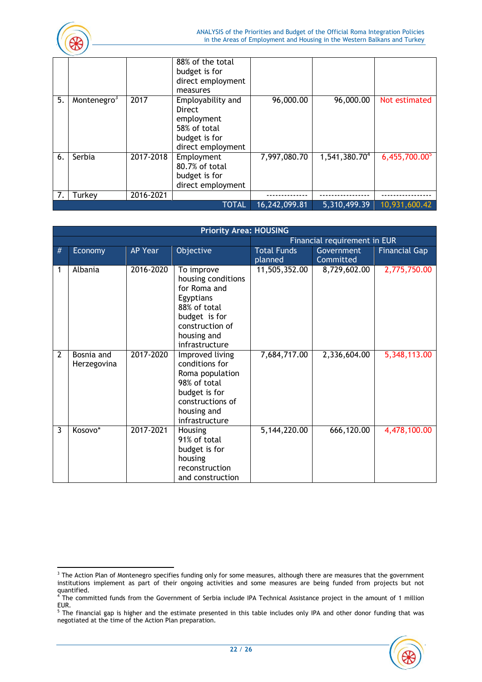

|    |                         |           | <b>TOTAL</b>                                                                                                                            | 16,242,099.81 | 5,310,499.39              | 10,931,600.42    |
|----|-------------------------|-----------|-----------------------------------------------------------------------------------------------------------------------------------------|---------------|---------------------------|------------------|
|    | Turkey                  | 2016-2021 |                                                                                                                                         |               |                           |                  |
| 6. | Serbia                  | 2017-2018 | Employment<br>80.7% of total<br>budget is for<br>direct employment                                                                      | 7,997,080.70  | 1,541,380.70 <sup>4</sup> | $6,455,700.00^5$ |
| 5. | Montenegro <sup>3</sup> | 2017      | direct employment<br>measures<br>Employability and<br><b>Direct</b><br>employment<br>58% of total<br>budget is for<br>direct employment | 96,000.00     | 96,000.00                 | Not estimated    |
|    |                         |           | 88% of the total<br>budget is for                                                                                                       |               |                           |                  |

|                | <b>Priority Area: HOUSING</b> |                |                                                                                                                                                    |                               |                              |                      |  |  |
|----------------|-------------------------------|----------------|----------------------------------------------------------------------------------------------------------------------------------------------------|-------------------------------|------------------------------|----------------------|--|--|
|                |                               |                |                                                                                                                                                    |                               | Financial requirement in EUR |                      |  |  |
| #              | Economy                       | <b>AP Year</b> | Objective                                                                                                                                          | <b>Total Funds</b><br>planned | Government<br>Committed      | <b>Financial Gap</b> |  |  |
| 1              | Albania                       | 2016-2020      | To improve<br>housing conditions<br>for Roma and<br>Egyptians<br>88% of total<br>budget is for<br>construction of<br>housing and<br>infrastructure | 11,505,352.00                 | 8,729,602.00                 | 2,775,750.00         |  |  |
| $\overline{2}$ | Bosnia and<br>Herzegovina     | 2017-2020      | Improved living<br>conditions for<br>Roma population<br>98% of total<br>budget is for<br>constructions of<br>housing and<br>infrastructure         | 7,684,717.00                  | 2,336,604.00                 | 5,348,113.00         |  |  |
| 3              | Kosovo*                       | 2017-2021      | Housing<br>91% of total<br>budget is for<br>housing<br>reconstruction<br>and construction                                                          | 5,144,220.00                  | 666,120.00                   | 4,478,100.00         |  |  |

 $^5$  The financial gap is higher and the estimate presented in this table includes only IPA and other donor funding that was negotiated at the time of the Action Plan preparation.



 $\overline{\phantom{a}}$  $3$  The Action Plan of Montenegro specifies funding only for some measures, although there are measures that the government institutions implement as part of their ongoing activities and some measures are being funded from projects but not quantified.

 $^4$  The committed funds from the Government of Serbia include IPA Technical Assistance project in the amount of 1 million EUR.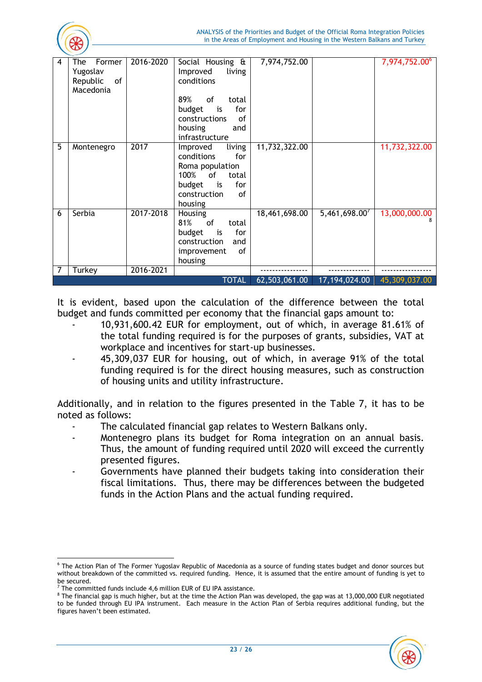

| 4 | The<br>Former                                                   | 2016-2020 | Social Housing &                 | 7,974,752.00  |              | 7,974,752.00° |  |
|---|-----------------------------------------------------------------|-----------|----------------------------------|---------------|--------------|---------------|--|
|   | Yugoslav<br>Republic<br>of                                      |           | Improved<br>living<br>conditions |               |              |               |  |
|   | Macedonia                                                       |           |                                  |               |              |               |  |
|   |                                                                 |           | 89%<br>of<br>total               |               |              |               |  |
|   |                                                                 |           | budget<br>for<br>is              |               |              |               |  |
|   |                                                                 |           | constructions<br>of              |               |              |               |  |
|   |                                                                 |           | housing<br>and                   |               |              |               |  |
|   |                                                                 |           | infrastructure                   |               |              |               |  |
| 5 | Montenegro                                                      | 2017      | living<br>Improved               | 11,732,322.00 |              | 11,732,322.00 |  |
|   |                                                                 |           | conditions<br>for                |               |              |               |  |
|   |                                                                 |           | Roma population                  |               |              |               |  |
|   |                                                                 |           | 100%<br>of<br>total              |               |              |               |  |
|   |                                                                 |           | budget<br>for<br>is              |               |              |               |  |
|   |                                                                 |           | of<br>construction               |               |              |               |  |
|   |                                                                 |           | housing                          |               |              |               |  |
| 6 | Serbia                                                          | 2017-2018 | Housing                          | 18,461,698.00 | 5,461,698.00 | 13,000,000.00 |  |
|   |                                                                 |           | 81%<br>of<br>total               |               |              |               |  |
|   |                                                                 |           | budget<br>for<br>is              |               |              |               |  |
|   |                                                                 |           | construction<br>and              |               |              |               |  |
|   |                                                                 |           | of<br>improvement                |               |              |               |  |
|   |                                                                 |           | housing                          |               |              |               |  |
| 7 | Turkey                                                          | 2016-2021 |                                  |               |              |               |  |
|   | <b>TOTAL</b><br>62,503,061.00<br>17,194,024.00<br>45,309,037.00 |           |                                  |               |              |               |  |

It is evident, based upon the calculation of the difference between the total budget and funds committed per economy that the financial gaps amount to:

- 10,931,600.42 EUR for employment, out of which, in average 81.61% of the total funding required is for the purposes of grants, subsidies, VAT at workplace and incentives for start-up businesses.
- 45,309,037 EUR for housing, out of which, in average 91% of the total funding required is for the direct housing measures, such as construction of housing units and utility infrastructure.

Additionally, and in relation to the figures presented in the Table 7, it has to be noted as follows:

- The calculated financial gap relates to Western Balkans only.
- Montenegro plans its budget for Roma integration on an annual basis. Thus, the amount of funding required until 2020 will exceed the currently presented figures.
- Governments have planned their budgets taking into consideration their fiscal limitations. Thus, there may be differences between the budgeted funds in the Action Plans and the actual funding required.

<sup>&</sup>lt;sup>8</sup> The financial gap is much higher, but at the time the Action Plan was developed, the gap was at 13,000,000 EUR negotiated to be funded through EU IPA instrument. Each measure in the Action Plan of Serbia requires additional funding, but the figures haven't been estimated.



 $\overline{\phantom{a}}$ <sup>6</sup> The Action Plan of The Former Yugoslav Republic of Macedonia as a source of funding states budget and donor sources but without breakdown of the committed vs. required funding. Hence, it is assumed that the entire amount of funding is yet to be secured.

 $7$  The committed funds include 4,6 million EUR of EU IPA assistance.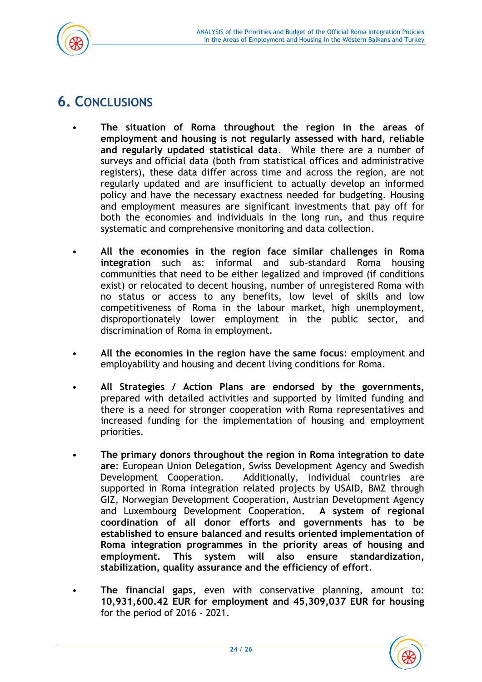

# <span id="page-24-0"></span>**6. CONCLUSIONS**

- **The situation of Roma throughout the region in the areas of employment and housing is not regularly assessed with hard, reliable and regularly updated statistical data**. While there are a number of surveys and official data (both from statistical offices and administrative registers), these data differ across time and across the region, are not regularly updated and are insufficient to actually develop an informed policy and have the necessary exactness needed for budgeting. Housing and employment measures are significant investments that pay off for both the economies and individuals in the long run, and thus require systematic and comprehensive monitoring and data collection.
- **All the economies in the region face similar challenges in Roma integration** such as: informal and sub-standard Roma housing communities that need to be either legalized and improved (if conditions exist) or relocated to decent housing, number of unregistered Roma with no status or access to any benefits, low level of skills and low competitiveness of Roma in the labour market, high unemployment, disproportionately lower employment in the public sector, and discrimination of Roma in employment.
- **All the economies in the region have the same focus**: employment and employability and housing and decent living conditions for Roma.
- **All Strategies / Action Plans are endorsed by the governments,** prepared with detailed activities and supported by limited funding and there is a need for stronger cooperation with Roma representatives and increased funding for the implementation of housing and employment priorities.
- **The primary donors throughout the region in Roma integration to date are**: European Union Delegation, Swiss Development Agency and Swedish Development Cooperation. Additionally, individual countries are supported in Roma integration related projects by USAID, BMZ through GIZ, Norwegian Development Cooperation, Austrian Development Agency and Luxembourg Development Cooperation**. A system of regional coordination of all donor efforts and governments has to be established to ensure balanced and results oriented implementation of Roma integration programmes in the priority areas of housing and employment. This system will also ensure standardization, stabilization, quality assurance and the efficiency of effort**.
	- **The financial gaps**, even with conservative planning, amount to: **10,931,600.42 EUR for employment and 45,309,037 EUR for housing** for the period of 2016 - 2021.